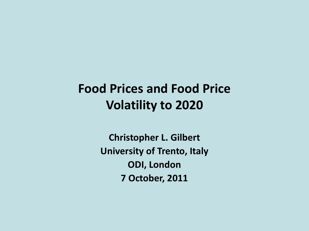## **Food Prices and Food Price Volatility to 2020**

**Christopher L. Gilbert University of Trento, Italy ODI, London 7 October, 2011**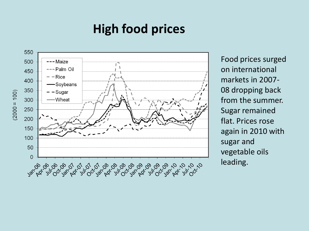## **High food prices**



Food prices surged on international markets in 2007- 08 dropping back from the summer. Sugar remained flat. Prices rose again in 2010 with sugar and vegetable oils leading.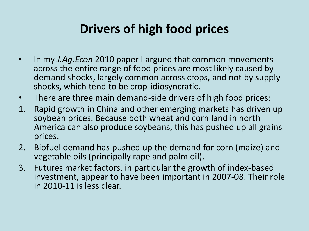## **Drivers of high food prices**

- In my *J.Ag.Econ* 2010 paper I argued that common movements across the entire range of food prices are most likely caused by demand shocks, largely common across crops, and not by supply shocks, which tend to be crop-idiosyncratic.
- There are three main demand-side drivers of high food prices:
- 1. Rapid growth in China and other emerging markets has driven up soybean prices. Because both wheat and corn land in north America can also produce soybeans, this has pushed up all grains prices.
- 2. Biofuel demand has pushed up the demand for corn (maize) and vegetable oils (principally rape and palm oil).
- 3. Futures market factors, in particular the growth of index-based investment, appear to have been important in 2007-08. Their role in 2010-11 is less clear.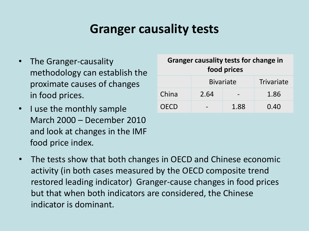### **Granger causality tests**

- The Granger-causality methodology can establish the proximate causes of changes in food prices.
- I use the monthly sample March 2000 – December 2010 and look at changes in the IMF food price index.

| <b>Granger causality tests for change in</b><br>food prices |                  |      |            |
|-------------------------------------------------------------|------------------|------|------------|
|                                                             | <b>Bivariate</b> |      | Trivariate |
| China                                                       | 2.64             |      | 1.86       |
| <b>OECD</b>                                                 |                  | 1.88 | 0.40       |

The tests show that both changes in OECD and Chinese economic activity (in both cases measured by the OECD composite trend restored leading indicator) Granger-cause changes in food prices but that when both indicators are considered, the Chinese indicator is dominant.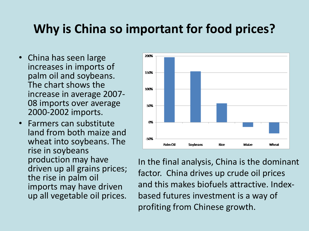### **Why is China so important for food prices?**

- China has seen large increases in imports of palm oil and soybeans. The chart shows the increase in average 2007- 08 imports over average 2000-2002 imports.
- Farmers can substitute land from both maize and wheat into soybeans. The rise in soybeans production may have driven up all grains prices; the rise in palm oil imports may have driven up all vegetable oil prices.



In the final analysis, China is the dominant factor. China drives up crude oil prices and this makes biofuels attractive. Indexbased futures investment is a way of profiting from Chinese growth.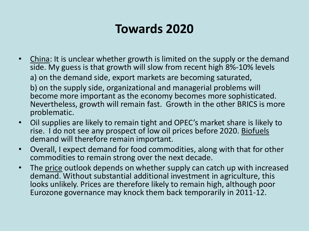## **Towards 2020**

- China: It is unclear whether growth is limited on the supply or the demand side. My guess is that growth will slow from recent high 8%-10% levels a) on the demand side, export markets are becoming saturated,
	- b) on the supply side, organizational and managerial problems will become more important as the economy becomes more sophisticated. Nevertheless, growth will remain fast. Growth in the other BRICS is more problematic.
- Oil supplies are likely to remain tight and OPEC's market share is likely to rise. I do not see any prospect of low oil prices before 2020. Biofuels demand will therefore remain important.
- Overall, I expect demand for food commodities, along with that for other commodities to remain strong over the next decade.
- The price outlook depends on whether supply can catch up with increased demand. Without substantial additional investment in agriculture, this looks unlikely. Prices are therefore likely to remain high, although poor Eurozone governance may knock them back temporarily in 2011-12.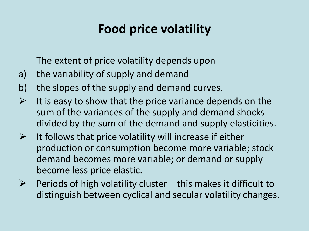# **Food price volatility**

The extent of price volatility depends upon

- a) the variability of supply and demand
- b) the slopes of the supply and demand curves.
- $\triangleright$  It is easy to show that the price variance depends on the sum of the variances of the supply and demand shocks divided by the sum of the demand and supply elasticities.
- $\triangleright$  It follows that price volatility will increase if either production or consumption become more variable; stock demand becomes more variable; or demand or supply become less price elastic.
- $\triangleright$  Periods of high volatility cluster this makes it difficult to distinguish between cyclical and secular volatility changes.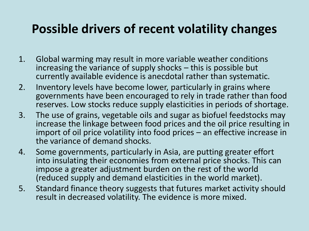### **Possible drivers of recent volatility changes**

- 1. Global warming may result in more variable weather conditions increasing the variance of supply shocks – this is possible but currently available evidence is anecdotal rather than systematic.
- 2. Inventory levels have become lower, particularly in grains where governments have been encouraged to rely in trade rather than food reserves. Low stocks reduce supply elasticities in periods of shortage.
- 3. The use of grains, vegetable oils and sugar as biofuel feedstocks may increase the linkage between food prices and the oil price resulting in import of oil price volatility into food prices – an effective increase in the variance of demand shocks.
- 4. Some governments, particularly in Asia, are putting greater effort into insulating their economies from external price shocks. This can impose a greater adjustment burden on the rest of the world (reduced supply and demand elasticities in the world market).
- 5. Standard finance theory suggests that futures market activity should result in decreased volatility. The evidence is more mixed.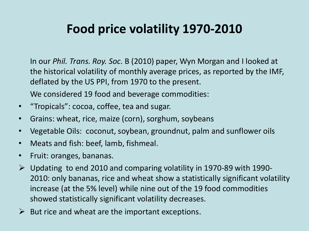## **Food price volatility 1970-2010**

In our *Phil. Trans. Roy. Soc.* B (2010) paper, Wyn Morgan and I looked at the historical volatility of monthly average prices, as reported by the IMF, deflated by the US PPI, from 1970 to the present.

We considered 19 food and beverage commodities:

- "Tropicals": cocoa, coffee, tea and sugar.
- Grains: wheat, rice, maize (corn), sorghum, soybeans
- Vegetable Oils: coconut, soybean, groundnut, palm and sunflower oils
- Meats and fish: beef, lamb, fishmeal.
- Fruit: oranges, bananas.
- $\triangleright$  Updating to end 2010 and comparing volatility in 1970-89 with 1990-2010: only bananas, rice and wheat show a statistically significant volatility increase (at the 5% level) while nine out of the 19 food commodities showed statistically significant volatility decreases.
- $\triangleright$  But rice and wheat are the important exceptions.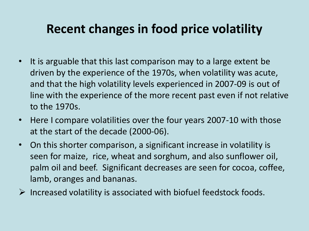## **Recent changes in food price volatility**

- It is arguable that this last comparison may to a large extent be driven by the experience of the 1970s, when volatility was acute, and that the high volatility levels experienced in 2007-09 is out of line with the experience of the more recent past even if not relative to the 1970s.
- Here I compare volatilities over the four years 2007-10 with those at the start of the decade (2000-06).
- On this shorter comparison, a significant increase in volatility is seen for maize, rice, wheat and sorghum, and also sunflower oil, palm oil and beef. Significant decreases are seen for cocoa, coffee, lamb, oranges and bananas.
- $\triangleright$  Increased volatility is associated with biofuel feedstock foods.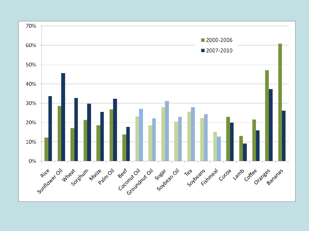